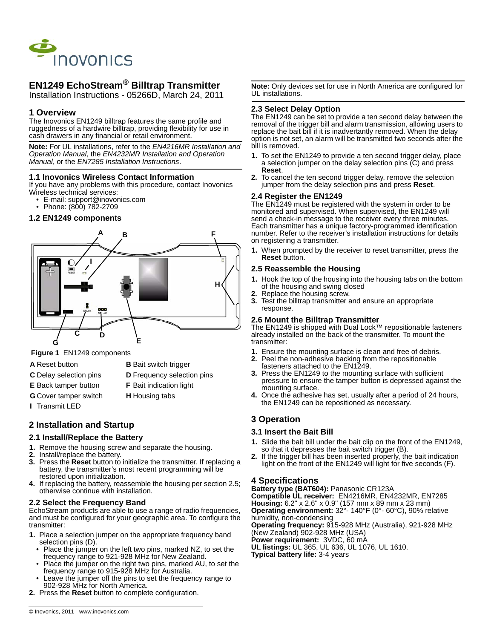

# **EN1249 EchoStream® Billtrap Transmitter**

Installation Instructions - 05266D, March 24, 2011

# **1 Overview**

The Inovonics EN1249 billtrap features the same profile and ruggedness of a hardwire billtrap, providing flexibility for use in cash drawers in any financial or retail environment.

**Note:** For UL installations, refer to the *EN4216MR Installation and Operation Manual*, the *EN4232MR Installation and Operation Manual*, or the *EN7285 Installation Instructions*.

#### **1.1 Inovonics Wireless Contact Information**

If you have any problems with this procedure, contact Inovonics Wireless technical services:

- E-mail: support@inovonics.com
- Phone: (800) 782-2709

#### **1.2 EN1249 components**



 **Figure 1** EN1249 components

- 
- **A** Reset button **B** Bait switch trigger
- **C** Delay selection pins **D** Frequency selection pins
- 
- **E** Back tamper button **F** Bait indication light
- **G** Cover tamper switch **H** Housing tabs
- **I** Transmit LED

### **2 Installation and Startup**

### **2.1 Install/Replace the Battery**

- **1.** Remove the housing screw and separate the housing.
- **2.** Install/replace the battery.
- **3.** Press the **Reset** button to initialize the transmitter. If replacing a battery, the transmitter's most recent programming will be restored upon initialization.
- **4.** If replacing the battery, reassemble the housing per section 2.5; otherwise continue with installation.

#### **2.2 Select the Frequency Band**

EchoStream products are able to use a range of radio frequencies, and must be configured for your geographic area. To configure the transmitter:

- **1.** Place a selection jumper on the appropriate frequency band selection pins (D).
	- Place the jumper on the left two pins, marked NZ, to set the frequency range to 921-928 MHz for New Zealand.
	- Place the jumper on the right two pins, marked AU, to set the frequency range to 915-928 MHz for Australia.
	- Leave the jumper off the pins to set the frequency range to 902-928 MHz for North America.
- **2.** Press the **Reset** button to complete configuration.

**Note:** Only devices set for use in North America are configured for UL installations.

### **2.3 Select Delay Option**

The EN1249 can be set to provide a ten second delay between the removal of the trigger bill and alarm transmission, allowing users to replace the bait bill if it is inadvertantly removed. When the delay option is not set, an alarm will be transmitted two seconds after the bill is removed.

- **1.** To set the EN1249 to provide a ten second trigger delay, place a selection jumper on the delay selection pins (C) and press **Reset**.
- **2.** To cancel the ten second trigger delay, remove the selection jumper from the delay selection pins and press **Reset**.

### **2.4 Register the EN1249**

The EN1249 must be registered with the system in order to be monitored and supervised. When supervised, the EN1249 will send a check-in message to the receiver every three minutes. Each transmitter has a unique factory-programmed identification number. Refer to the receiver's installation instructions for details on registering a transmitter.

**1.** When prompted by the receiver to reset transmitter, press the **Reset** button.

#### **2.5 Reassemble the Housing**

- **1.** Hook the top of the housing into the housing tabs on the bottom of the housing and swing closed
- **2.** Replace the housing screw.
- **3.** Test the billtrap transmitter and ensure an appropriate response.

#### **2.6 Mount the Billtrap Transmitter**

The EN1249 is shipped with Dual Lock™ repositionable fasteners already installed on the back of the transmitter. To mount the transmitter:

- **1.** Ensure the mounting surface is clean and free of debris.
- **2.** Peel the non-adhesive backing from the repositionable fasteners attached to the EN1249.
- **3.** Press the EN1249 to the mounting surface with sufficient pressure to ensure the tamper button is depressed against the mounting surface.
- **4.** Once the adhesive has set, usually after a period of 24 hours, the EN1249 can be repositioned as necessary.

# **3 Operation**

#### **3.1 Insert the Bait Bill**

- **1.** Slide the bait bill under the bait clip on the front of the EN1249, so that it depresses the bait switch trigger (B).
- **2.** If the trigger bill has been inserted properly, the bait indication light on the front of the EN1249 will light for five seconds (F).

### **4 Specifications**

**Battery type (BAT604):** Panasonic CR123A **Compatible UL receiver:** EN4216MR, EN4232MR, EN7285 **Housing:** 6.2" x 2.6" x 0.9" (157 mm x 89 mm x 23 mm) **Operating environment:** 32°- 140°F (0°- 60°C), 90% relative humidity, non-condensing **Operating frequency:** 915-928 MHz (Australia), 921-928 MHz (New Zealand) 902-928 MHz (USA) **Power requirement:** 3VDC, 60 mA **UL listings:** UL 365, UL 636, UL 1076, UL 1610.

**Typical battery life:** 3-4 years